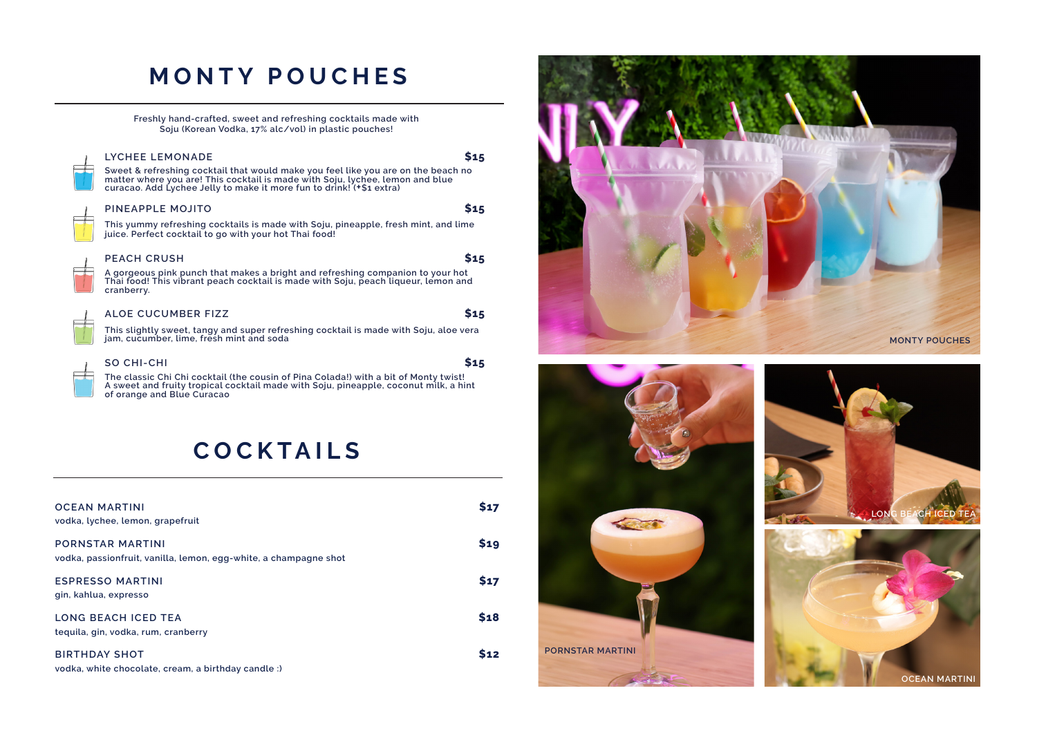## **MONTY POUCHES**

**Freshly hand-crafted, sweet and refreshing cocktails made with Soju (Korean Vodka, 17% alc/vol) in plastic pouches!** 

#### **LYCHEE LEMONADE \$15**

Sweet & refreshing cocktail that would make you feel like you are on the beach no<br>matter where you are! This cocktail is made with Soju, lychee, lemon and blue<br>curacao. Add Lychee Jelly to make it more fun to drink! (+\$1 e

#### **PINEAPPLE MOJITO \$15**

**This yummy refreshing cocktails is made with Soju, pineapple, fresh mint, and lime juice. Perfect cocktail to go with your hot Thai food!**

#### **PEACH CRUSH \$15**

 $F$ 

 $F$ 

 $\Box$ 

 $\Box$ 

**A gorgeous pink punch that makes a bright and refreshing companion to your hot Thai food! This vibrant peach cocktail is made with Soju, peach liqueur, lemon and cranberry.** 

#### **ALOE CUCUMBER FIZZ \$15**

**This slightly sweet, tangy and super refreshing cocktail is made with Soju, aloe vera jam, cucumber, lime, fresh mint and soda**

| SO CHI-CHI                                                                            | \$15 |
|---------------------------------------------------------------------------------------|------|
| The classic Chi Chi cocktail (the cousin of Pina Coladal) with a bit of Monty twistle |      |

**The classic Chi Chi cocktail (the cousin of Pina Colada!) with a bit of Monty twist! A sweet and fruity tropical cocktail made with Soju, pineapple, coconut milk, a hint of orange and Blue Curacao**

### **COCKTAILS**

| <b>OCEAN MARTINI</b><br>vodka, lychee, lemon, grapefruit                                    | \$17       |
|---------------------------------------------------------------------------------------------|------------|
| <b>PORNSTAR MARTINI</b><br>vodka, passionfruit, vanilla, lemon, egg-white, a champagne shot | <b>S19</b> |
| <b>ESPRESSO MARTINI</b><br>gin, kahlua, expresso                                            | <b>S17</b> |
| <b>LONG BEACH ICED TEA</b><br>teguila, gin, vodka, rum, cranberry                           | \$18       |
| <b>BIRTHDAY SHOT</b><br>vodka, white chocolate, cream, a birthday candle :)                 | 12         |







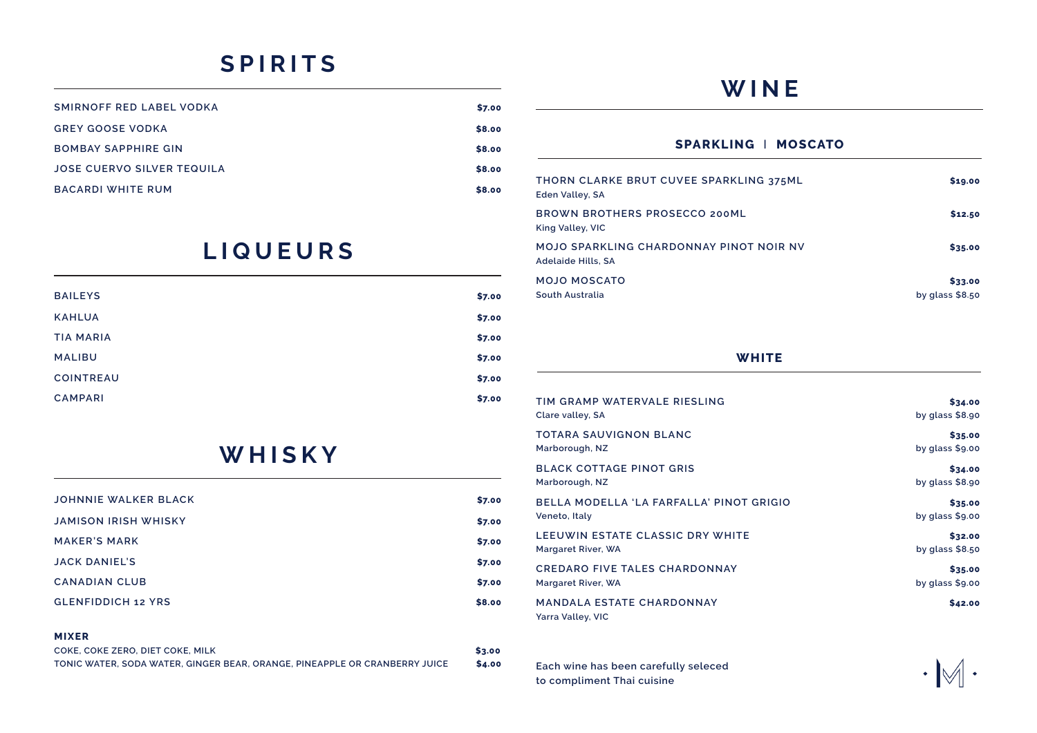## **SPIRITS**

| SMIRNOFF RED LABEL VODKA   | \$7.00 |
|----------------------------|--------|
| GREY GOOSE VODKA           | \$8.00 |
| <b>BOMBAY SAPPHIRE GIN</b> | \$8.00 |
| JOSE CUERVO SILVER TEQUILA | \$8.00 |
| BACARDI WHITE RUM          | \$8.00 |

### **LIQUEURS**

| <b>BAILEYS</b>   | \$7.00 |
|------------------|--------|
| <b>KAHLUA</b>    | \$7.00 |
| <b>TIA MARIA</b> | \$7.00 |
| <b>MALIBU</b>    | \$7.00 |
| <b>COINTREAU</b> | \$7.00 |
| <b>CAMPARI</b>   | \$7.00 |

### **WHISKY**

| JOHNNIE WALKER BLACK      | \$7.00 |
|---------------------------|--------|
| JAMISON IRISH WHISKY      | \$7.00 |
| <b>MAKER'S MARK</b>       | \$7.00 |
| <b>JACK DANIEL'S</b>      | \$7.00 |
| <b>CANADIAN CLUB</b>      | \$7.00 |
| <b>GLENFIDDICH 12 YRS</b> | \$8.00 |
|                           |        |

#### **MIXER**

| COKE, COKE ZERO, DIET COKE, MILK                                           | \$3.00 |
|----------------------------------------------------------------------------|--------|
| TONIC WATER, SODA WATER, GINGER BEAR, ORANGE, PINEAPPLE OR CRANBERRY JUICE | \$4.00 |

### **WINE**

### **SPARKLING** I **MOSCATO**

| THORN CLARKE BRUT CUVEE SPARKLING 375ML<br>Eden Valley, SA           | \$19.00                     |
|----------------------------------------------------------------------|-----------------------------|
| BROWN BROTHERS PROSECCO 200ML<br>King Valley, VIC                    | \$12.50                     |
| MOJO SPARKLING CHARDONNAY PINOT NOIR NV<br><b>Adelaide Hills, SA</b> | \$35.00                     |
| MOJO MOSCATO<br>South Australia                                      | \$33.00<br>by glass $$8.50$ |

### **WHITE**

| TIM GRAMP WATERVALE RIESLING                          | \$34.00          |
|-------------------------------------------------------|------------------|
| Clare valley, SA                                      | by glass $$8.90$ |
| TOTARA SAUVIGNON BLANC                                | \$35.00          |
| Marborough, NZ                                        | by glass $$9.00$ |
| <b>BLACK COTTAGE PINOT GRIS</b>                       | \$34.00          |
| Marborough, NZ                                        | by glass $$8.90$ |
| BELLA MODELLA 'LA FARFALLA' PINOT GRIGIO              | \$35.00          |
| Veneto, Italy                                         | by glass $$9.00$ |
| LEEUWIN ESTATE CLASSIC DRY WHITE                      | \$32.00          |
| Margaret River, WA                                    | by glass $$8.50$ |
| <b>CREDARO FIVE TALES CHARDONNAY</b>                  | \$35.00          |
| Margaret River, WA                                    | by glass $$9.00$ |
| <b>MANDALA ESTATE CHARDONNAY</b><br>Yarra Valley, VIC | \$42.00          |

**Each wine has been carefully seleced to compliment Thai cuisine**

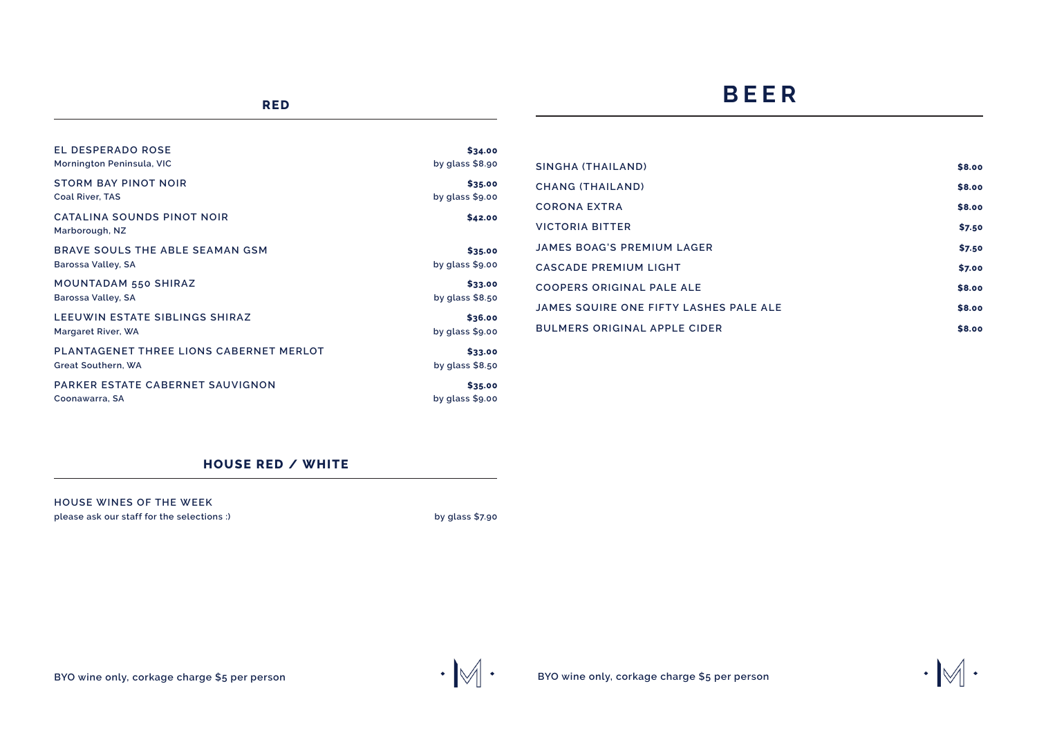### **BEER**

| EL DESPERADO ROSE                            | \$34.00          |
|----------------------------------------------|------------------|
| Mornington Peninsula, VIC                    | by glass $$8.90$ |
| <b>STORM BAY PINOT NOIR</b>                  | \$35.00          |
| <b>Coal River, TAS</b>                       | by glass $$9.00$ |
| CATALINA SOUNDS PINOT NOIR<br>Marborough, NZ | \$42.00          |
| BRAVE SOULS THE ABLE SEAMAN GSM              | \$35.00          |
| Barossa Valley, SA                           | by glass $$9.00$ |
| MOUNTADAM 550 SHIRAZ                         | \$33.00          |
| Barossa Valley, SA                           | by glass $$8.50$ |
| LEEUWIN ESTATE SIBLINGS SHIRAZ               | \$36.00          |
| Margaret River, WA                           | by glass $$9.00$ |
| PLANTAGENET THREE LIONS CABERNET MERLOT      | \$33.00          |
| Great Southern, WA                           | by glass $$8.50$ |
| PARKER ESTATE CABERNET SAUVIGNON             | \$35.00          |
| Coonawarra, SA                               | by glass $$9.00$ |

| SINGHA (THAILAND)                      | \$8.00 |
|----------------------------------------|--------|
| CHANG (THAILAND)                       | \$8.00 |
| CORONA EXTRA                           | \$8.00 |
| <b>VICTORIA BITTER</b>                 | \$7.50 |
| <b>JAMES BOAG'S PREMIUM LAGER</b>      | \$7.50 |
| <b>CASCADE PREMIUM LIGHT</b>           | \$7.00 |
| COOPERS ORIGINAL PALE ALE              | \$8.00 |
| JAMES SQUIRE ONE FIFTY LASHES PALE ALE | \$8.00 |
| <b>BULMERS ORIGINAL APPLE CIDER</b>    | \$8.00 |

 $\cdot \mathbb{M}$  .

### **HOUSE RED / WHITE**

**HOUSE WINES OF THE WEEK please ask our staff for the selections :) by glass \$7.90**